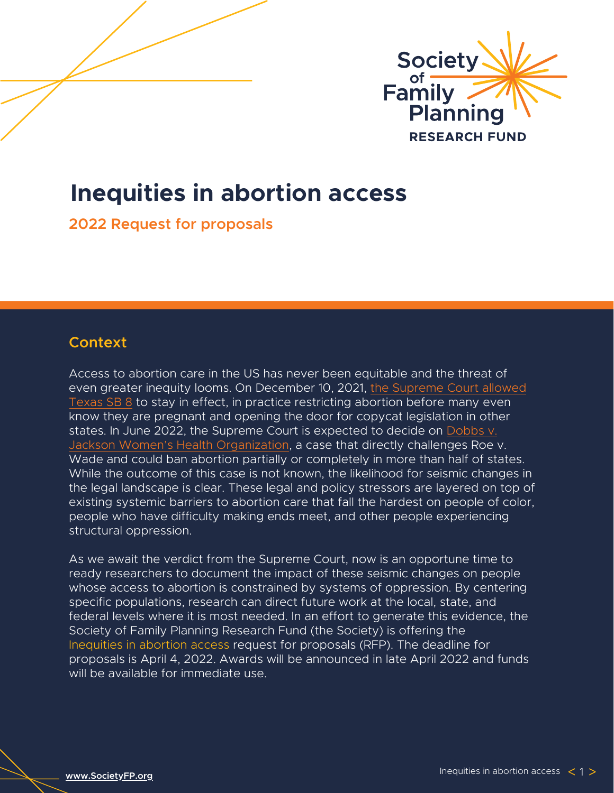

# **Inequities in abortion access**

**2022 Request for proposals**

# **Context**

Access to abortion care in the US has never been equitable and the threat of [even greater inequity looms. On December 10, 2021, the Supreme Court allowed](https://www.supremecourt.gov/opinions/21pdf/21-463_3ebh.pdf) Texas SB 8 to stay in effect, in practice restricting abortion before many even know they are pregnant and opening the door for copycat legislation in other states. In June 2022, the Supreme Court is expected to decide on Dobbs v. [Jackson Women's Health Organization, a case that directly challenges Roe v](https://www.supremecourt.gov/search.aspx?filename=/docket/docketfiles/html/public/19-1392.html). Wade and could ban abortion partially or completely in more than half of states. While the outcome of this case is not known, the likelihood for seismic changes in the legal landscape is clear. These legal and policy stressors are layered on top of existing systemic barriers to abortion care that fall the hardest on people of color, people who have difficulty making ends meet, and other people experiencing structural oppression.

As we await the verdict from the Supreme Court, now is an opportune time to ready researchers to document the impact of these seismic changes on people whose access to abortion is constrained by systems of oppression. By centering specific populations, research can direct future work at the local, state, and federal levels where it is most needed. In an effort to generate this evidence, the Society of Family Planning Research Fund (the Society) is offering the Inequities in abortion access request for proposals (RFP). The deadline for proposals is April 4, 2022. Awards will be announced in late April 2022 and funds will be available for immediate use.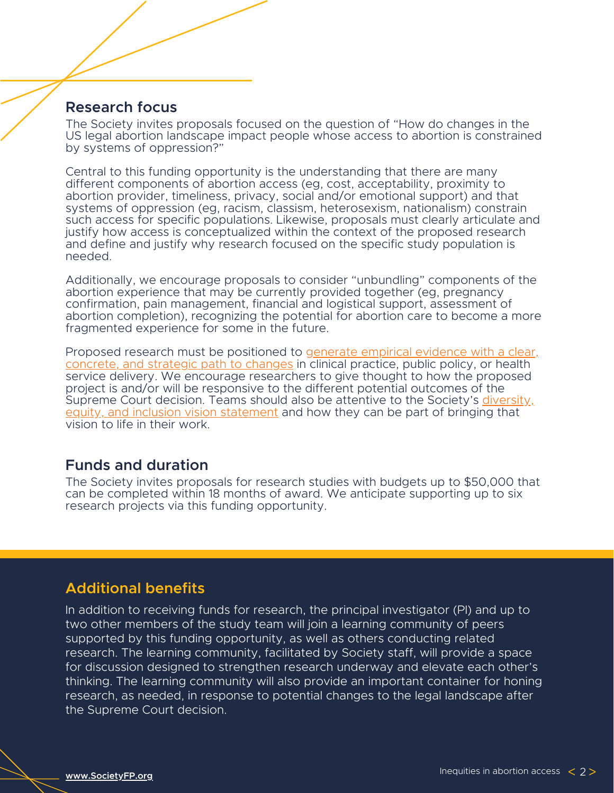## **Research focus**

The Society invites proposals focused on the question of "How do changes in the US legal abortion landscape impact people whose access to abortion is constrained by systems of oppression?"

Central to this funding opportunity is the understanding that there are many different components of abortion access (eg, cost, acceptability, proximity to abortion provider, timeliness, privacy, social and/or emotional support) and that systems of oppression (eg, racism, classism, heterosexism, nationalism) constrain such access for specific populations. Likewise, proposals must clearly articulate and justify how access is conceptualized within the context of the proposed research and define and justify why research focused on the specific study population is needed.

Additionally, we encourage proposals to consider "unbundling" components of the abortion experience that may be currently provided together (eg, pregnancy confirmation, pain management, financial and logistical support, assessment of abortion completion), recognizing the potential for abortion care to become a more fragmented experience for some in the future.

Proposed research must be positioned to generate empirical evidence with a clear, [concrete, and strategic path to changes in clinical practice, public policy, or health](https://societyfp.org/wp-content/uploads/2019/10/2019-Research-Impact-Indicators-Table-_Web.pdf) service delivery. We encourage researchers to give thought to how the proposed project is and/or will be responsive to the different potential outcomes o[f](https://www.societyfp.org/wp-content/uploads/2021/02/DEIVisionStatement.pdf) the Supreme Court decision. Teams should also be attentive to the Society's diversity, [equity, and inclusion vision statement and how they can be part of bringing that](https://www.societyfp.org/wp-content/uploads/2021/02/DEIVisionStatement.pdf) vision to life in their work.

# **Funds and duration**

The Society invites proposals for research studies with budgets up to \$50,000 that can be completed within 18 months of award. We anticipate supporting up to six research projects via this funding opportunity.

# **Additional benefits**

In addition to receiving funds for research, the principal investigator (PI) and up to two other members of the study team will join a learning community of peers supported by this funding opportunity, as well as others conducting related research. The learning community, facilitated by Society staff, will provide a space for discussion designed to strengthen research underway and elevate each other's thinking. The learning community will also provide an important container for honing research, as needed, in response to potential changes to the legal landscape after the Supreme Court decision.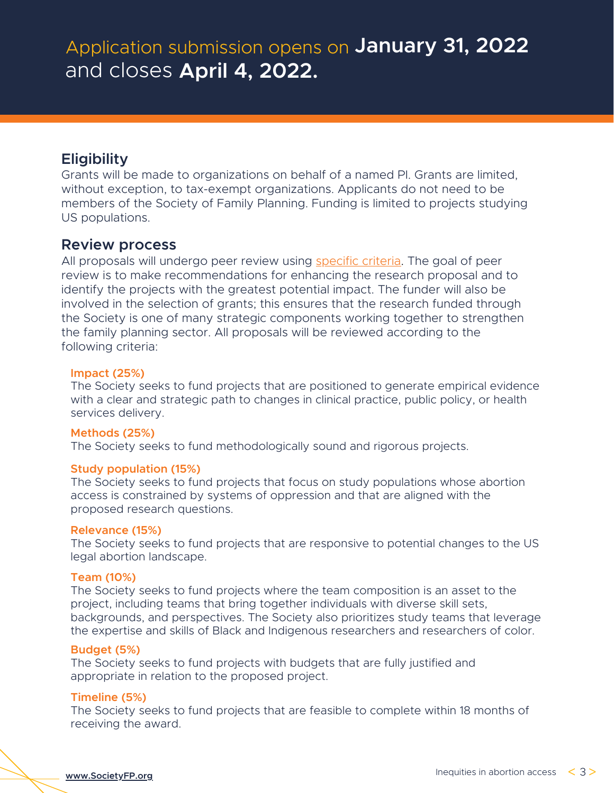# **Eligibility**

Grants will be made to organizations on behalf of a named PI. Grants are limited, without exception, to tax-exempt organizations. Applicants do not need to be members of the Society of Family Planning. Funding is limited to projects studying US populations.

# **Review process**

All proposals will undergo peer review using [specific](https://societyfp.org/wp-content/uploads/2022/01/Inequities-in-access_review-guide.pdf) criteria. The goal of peer review is to make recommendations for enhancing the research proposal and to identify the projects with the greatest potential impact. The funder will also be involved in the selection of grants; this ensures that the research funded through the Society is one of many strategic components working together to strengthen the family planning sector. All proposals will be reviewed according to the following criteria:

## **Impact (25%)**

The Society seeks to fund projects that are positioned to generate empirical evidence with a clear and strategic path to changes in clinical practice, public policy, or health services delivery.

## **Methods (25%)**

The Society seeks to fund methodologically sound and rigorous projects.

## **Study population (15%)**

The Society seeks to fund projects that focus on study populations whose abortion access is constrained by systems of oppression and that are aligned with the proposed research questions.

## **Relevance (15%)**

The Society seeks to fund projects that are responsive to potential changes to the US legal abortion landscape.

## **Team (10%)**

The Society seeks to fund projects where the team composition is an asset to the project, including teams that bring together individuals with diverse skill sets, backgrounds, and perspectives. The Society also prioritizes study teams that leverage the expertise and skills of Black and Indigenous researchers and researchers of color.

## **Budget (5%)**

The Society seeks to fund projects with budgets that are fully justified and appropriate in relation to the proposed project.

## **Timeline (5%)**

The Society seeks to fund projects that are feasible to complete within 18 months of receiving the award.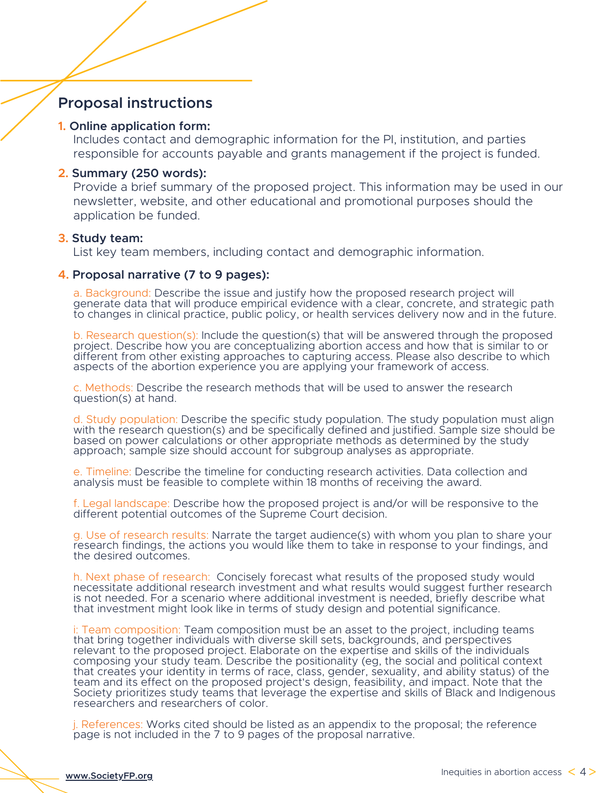# **Proposal instructions**

#### **1. Online application form:**

Includes contact and demographic information for the PI, institution, and parties responsible for accounts payable and grants management if the project is funded.

### **2. Summary (250 words):**

Provide a brief summary of the proposed project. This information may be used in our newsletter, website, and other educational and promotional purposes should the application be funded.

#### **3. Study team:**

List key team members, including contact and demographic information.

## **4. Proposal narrative (7 to 9 pages):**

a. Background: Describe the issue and justify how the proposed research project will generate data that will produce empirical evidence with a clear, concrete, and strategic path to changes in clinical practice, public policy, or health services delivery now and in the future.

b. Research question(s): Include the question(s) that will be answered through the proposed project. Describe how you are conceptualizing abortion access and how that is similar to or different from other existing approaches to capturing access. Please also describe to which aspects of the abortion experience you are applying your framework of access.

c. Methods: Describe the research methods that will be used to answer the research question(s) at hand.

d. Study population: Describe the specific study population. The study population must align with the research question(s) and be specifically defined and justified. Sample size should be based on power calculations or other appropriate methods as determined by the study approach; sample size should account for subgroup analyses as appropriate.

e. Timeline: Describe the timeline for conducting research activities. Data collection and analysis must be feasible to complete within 18 months of receiving the award.

f. Legal landscape: Describe how the proposed project is and/or will be responsive to the different potential outcomes of the Supreme Court decision.

g. Use of research results: Narrate the target audience(s) with whom you plan to share your research findings, the actions you would like them to take in response to your findings, and the desired outcomes.

h. Next phase of research: Concisely forecast what results of the proposed study would necessitate additional research investment and what results would suggest further research is not needed. For a scenario where additional investment is needed, briefly describe what that investment might look like in terms of study design and potential significance.

i: Team composition: Team composition must be an asset to the project, including teams that bring together individuals with diverse skill sets, backgrounds, and perspectives relevant to the proposed project. Elaborate on the expertise and skills of the individuals composing your study team. Describe the positionality (eg, the social and political context that creates your identity in terms of race, class, gender, sexuality, and ability status) of the team and its effect on the proposed project's design, feasibility, and impact. Note that the Society prioritizes study teams that leverage the expertise and skills of Black and Indigenous researchers and researchers of color.

j. References: Works cited should be listed as an appendix to the proposal; the reference page is not included in the 7 to 9 pages of the proposal narrative.